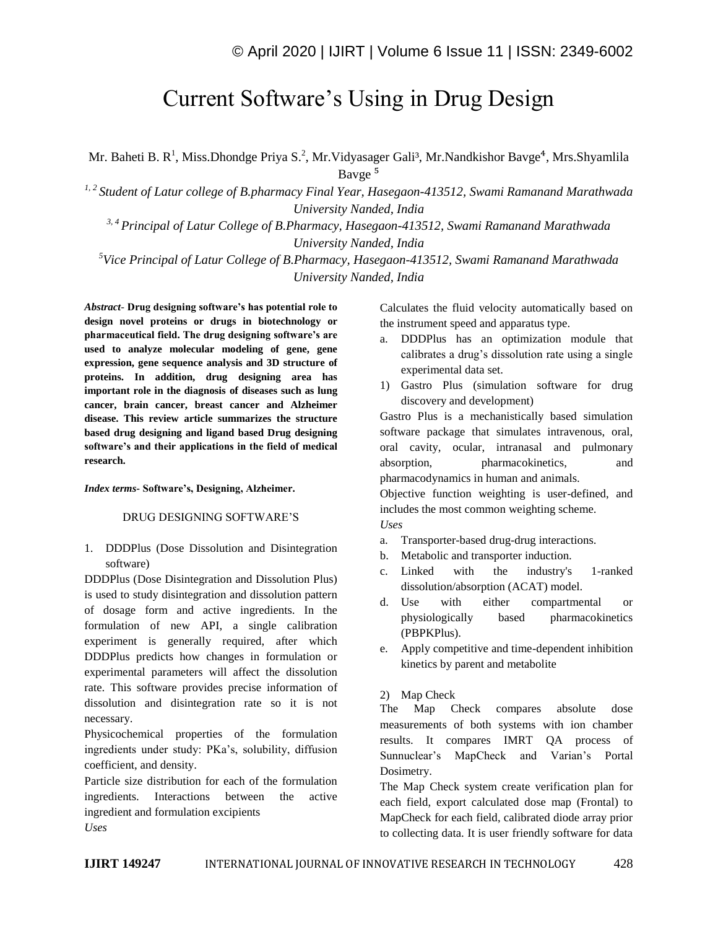# Current Software's Using in Drug Design

Mr. Baheti B. R<sup>1</sup>, Miss.Dhondge Priya S.<sup>2</sup>, Mr.Vidyasager Gali<sup>3</sup>, Mr.Nandkishor Bavge<sup>4</sup>, Mrs.Shyamlila Bavge<sup>5</sup>

*1, 2 Student of Latur college of B.pharmacy Final Year, Hasegaon-413512, Swami Ramanand Marathwada University Nanded, India*

*3, 4 Principal of Latur College of B.Pharmacy, Hasegaon-413512, Swami Ramanand Marathwada University Nanded, India*

*<sup>5</sup>Vice Principal of Latur College of B.Pharmacy, Hasegaon-413512, Swami Ramanand Marathwada University Nanded, India*

*Abstract*- **Drug designing software's has potential role to design novel proteins or drugs in biotechnology or pharmaceutical field. The drug designing software's are used to analyze molecular modeling of gene, gene expression, gene sequence analysis and 3D structure of proteins. In addition, drug designing area has important role in the diagnosis of diseases such as lung cancer, brain cancer, breast cancer and Alzheimer disease. This review article summarizes the structure based drug designing and ligand based Drug designing software's and their applications in the field of medical research.**

#### *Index terms***- Software's, Designing, Alzheimer.**

## DRUG DESIGNING SOFTWARE'S

1. DDDPlus (Dose Dissolution and Disintegration software)

DDDPlus (Dose Disintegration and Dissolution Plus) is used to study disintegration and dissolution pattern of dosage form and active ingredients. In the formulation of new API, a single calibration experiment is generally required, after which DDDPlus predicts how changes in formulation or experimental parameters will affect the dissolution rate. This software provides precise information of dissolution and disintegration rate so it is not necessary.

Physicochemical properties of the formulation ingredients under study: PKa's, solubility, diffusion coefficient, and density.

Particle size distribution for each of the formulation ingredients. Interactions between the active ingredient and formulation excipients *Uses*

Calculates the fluid velocity automatically based on the instrument speed and apparatus type.

- a. DDDPlus has an optimization module that calibrates a drug's dissolution rate using a single experimental data set.
- 1) Gastro Plus (simulation software for drug discovery and development)

Gastro Plus is a mechanistically based simulation software package that simulates intravenous, oral, oral cavity, ocular, intranasal and pulmonary absorption, pharmacokinetics, and pharmacodynamics in human and animals.

Objective function weighting is user-defined, and includes the most common weighting scheme. *Uses*

- a. Transporter-based drug-drug interactions. b. Metabolic and transporter induction.
- 
- c. Linked with the industry's 1-ranked dissolution/absorption (ACAT) model.
- d. Use with either compartmental or physiologically based pharmacokinetics (PBPKPlus).
- e. Apply competitive and time-dependent inhibition kinetics by parent and metabolite

#### 2) Map Check

The Map Check compares absolute dose measurements of both systems with ion chamber results. It compares IMRT QA process of Sunnuclear's MapCheck and Varian's Portal Dosimetry.

The Map Check system create verification plan for each field, export calculated dose map (Frontal) to MapCheck for each field, calibrated diode array prior to collecting data. It is user friendly software for data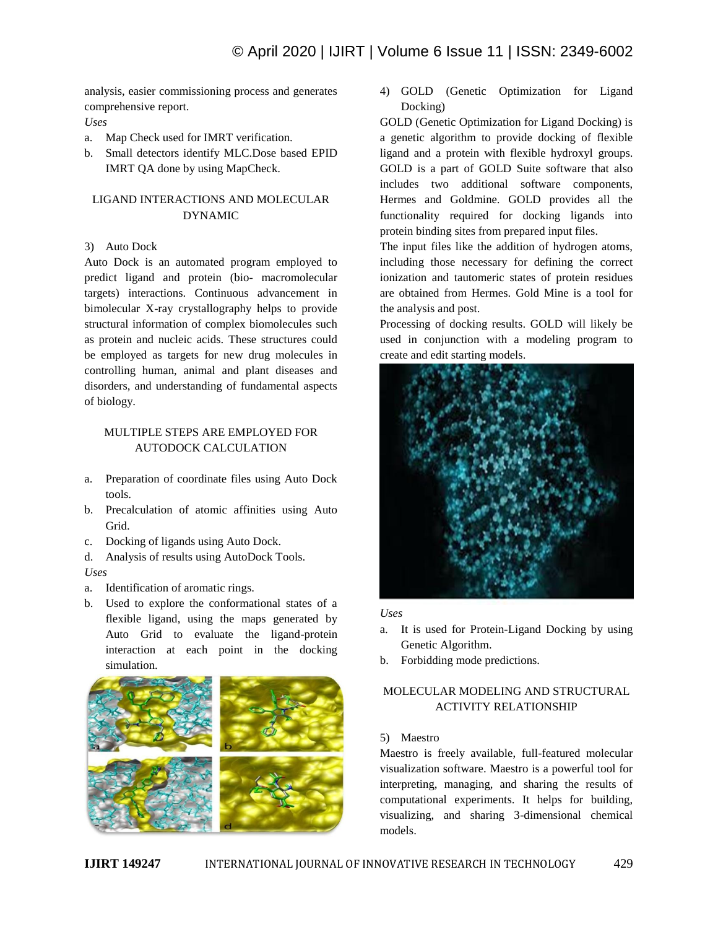analysis, easier commissioning process and generates comprehensive report.

## *Uses*

- a. Map Check used for IMRT verification.
- b. Small detectors identify MLC.Dose based EPID IMRT QA done by using MapCheck.

# LIGAND INTERACTIONS AND MOLECULAR DYNAMIC

# 3) Auto Dock

Auto Dock is an automated program employed to predict ligand and protein (bio- macromolecular targets) interactions. Continuous advancement in bimolecular X-ray crystallography helps to provide structural information of complex biomolecules such as protein and nucleic acids. These structures could be employed as targets for new drug molecules in controlling human, animal and plant diseases and disorders, and understanding of fundamental aspects of biology.

# MULTIPLE STEPS ARE EMPLOYED FOR AUTODOCK CALCULATION

- a. Preparation of coordinate files using Auto Dock tools.
- b. Precalculation of atomic affinities using Auto Grid.
- c. Docking of ligands using Auto Dock.
- d. Analysis of results using AutoDock Tools. *Uses*
- a. Identification of aromatic rings.
- b. Used to explore the conformational states of a flexible ligand, using the maps generated by Auto Grid to evaluate the ligand-protein interaction at each point in the docking simulation.



4) GOLD (Genetic Optimization for Ligand Docking)

GOLD (Genetic Optimization for Ligand Docking) is a genetic algorithm to provide docking of flexible ligand and a protein with flexible hydroxyl groups. GOLD is a part of GOLD Suite software that also includes two additional software components, Hermes and Goldmine. GOLD provides all the functionality required for docking ligands into protein binding sites from prepared input files.

The input files like the addition of hydrogen atoms, including those necessary for defining the correct ionization and tautomeric states of protein residues are obtained from Hermes. Gold Mine is a tool for the analysis and post.

Processing of docking results. GOLD will likely be used in conjunction with a modeling program to create and edit starting models.



## *Uses*

- a. It is used for Protein-Ligand Docking by using Genetic Algorithm.
- b. Forbidding mode predictions.

# MOLECULAR MODELING AND STRUCTURAL ACTIVITY RELATIONSHIP

# 5) Maestro

Maestro is freely available, full-featured molecular visualization software. Maestro is a powerful tool for interpreting, managing, and sharing the results of computational experiments. It helps for building, visualizing, and sharing 3-dimensional chemical models.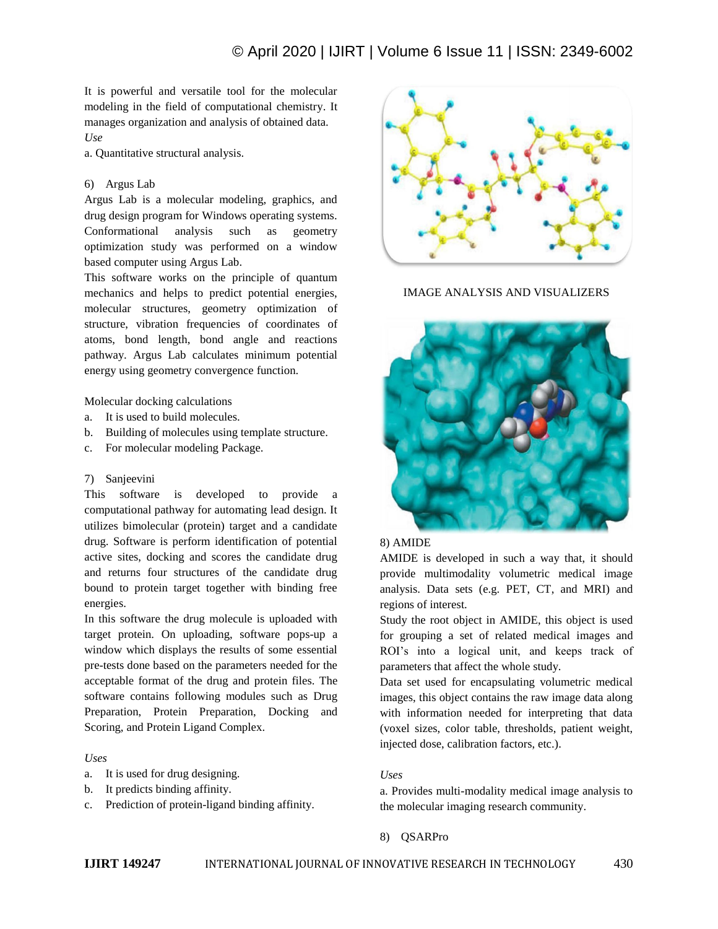It is powerful and versatile tool for the molecular modeling in the field of computational chemistry. It manages organization and analysis of obtained data. *Use*

a. Quantitative structural analysis.

## 6) Argus Lab

Argus Lab is a molecular modeling, graphics, and drug design program for Windows operating systems. Conformational analysis such as geometry optimization study was performed on a window based computer using Argus Lab.

This software works on the principle of quantum mechanics and helps to predict potential energies, molecular structures, geometry optimization of structure, vibration frequencies of coordinates of atoms, bond length, bond angle and reactions pathway. Argus Lab calculates minimum potential energy using geometry convergence function.

Molecular docking calculations

- a. It is used to build molecules.
- b. Building of molecules using template structure.
- c. For molecular modeling Package.

## 7) Sanjeevini

This software is developed to provide a computational pathway for automating lead design. It utilizes bimolecular (protein) target and a candidate drug. Software is perform identification of potential active sites, docking and scores the candidate drug and returns four structures of the candidate drug bound to protein target together with binding free energies.

In this software the drug molecule is uploaded with target protein. On uploading, software pops-up a window which displays the results of some essential pre-tests done based on the parameters needed for the acceptable format of the drug and protein files. The software contains following modules such as Drug Preparation, Protein Preparation, Docking and Scoring, and Protein Ligand Complex.

#### *Uses*

- a. It is used for drug designing.
- b. It predicts binding affinity.
- c. Prediction of protein-ligand binding affinity.



IMAGE ANALYSIS AND VISUALIZERS



# 8) AMIDE

AMIDE is developed in such a way that, it should provide multimodality volumetric medical image analysis. Data sets (e.g. PET, CT, and MRI) and regions of interest.

Study the root object in AMIDE, this object is used for grouping a set of related medical images and ROI's into a logical unit, and keeps track of parameters that affect the whole study.

Data set used for encapsulating volumetric medical images, this object contains the raw image data along with information needed for interpreting that data (voxel sizes, color table, thresholds, patient weight, injected dose, calibration factors, etc.).

## *Uses*

a. Provides multi-modality medical image analysis to the molecular imaging research community.

## 8) QSARPro